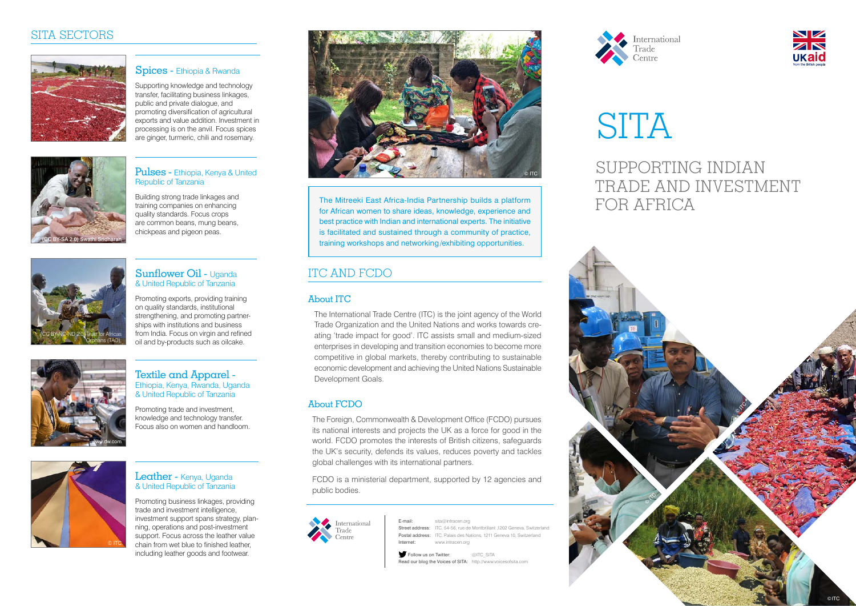#### ITC AND FCDO

### SUPPORTING INDIAN TRADE AND INVESTMENT

# FOR AFRICA



International





#### Sunflower Oil - Uganda & United Republic of Tanzania

Promoting exports, providing training on quality standards, institutional strengthening, and promoting partnerships with institutions and business from India. Focus on virgin and refined oil and by-products such as oilcake.

#### Leather - Kenya, Uganda & United Republic of Tanzania



Textile and Apparel - Ethiopia, Kenya, Rwanda, Uganda & United Republic of Tanzania

Promoting trade and investment, knowledge and technology transfer. Focus also on women and handloom.



Promoting business linkages, providing trade and investment intelligence, investment support spans strategy, planning, operations and post-investment support. Focus across the leather value chain from wet blue to finished leather, including leather goods and footwear.

Follow us on Twitter: @ITC\_SITA Read our blog the Voices of SITA: http://www.voicesofsita.com



# **SITA**



#### Pulses - Ethiopia, Kenya & United Republic of Tanzania

Spices - Ethiopia & Rwanda

Building strong trade linkages and training companies on enhancing quality standards. Focus crops are common beans, mung beans, chickpeas and pigeon peas.



Supporting knowledge and technology transfer, facilitating business linkages, public and private dialogue, and promoting diversification of agricultural exports and value addition. Investment in processing is on the anvil. Focus spices are ginger, turmeric, chili and rosemary.



#### About ITC

The International Trade Centre (ITC) is the joint agency of the World Trade Organization and the United Nations and works towards creating 'trade impact for good'. ITC assists small and medium-sized enterprises in developing and transition economies to become more competitive in global markets, thereby contributing to sustainable economic development and achieving the United Nations Sustainable Development Goals.

#### About FCDO

The Foreign, Commonwealth & Development Office (FCDO) pursues its national interests and projects the UK as a force for good in the world. FCDO promotes the interests of British citizens, safeguards the UK's security, defends its values, reduces poverty and tackles global challenges with its international partners.

FCDO is a ministerial department, supported by 12 agencies and public bodies.



E-mail: sita@intracen.org Street address: ITC, 54-56, rue de Montbrillant ,1202 Geneva, Switzerland Postal address: ITC, Palais des Nations, 1211 Geneva 10, Switzerland Internet: www.intracen.org



The Mitreeki East Africa-India Partnership builds a platform for African women to share ideas, knowledge, experience and best practice with Indian and international experts. The initiative is facilitated and sustained through a community of practice, training workshops and networking/exhibiting opportunities.